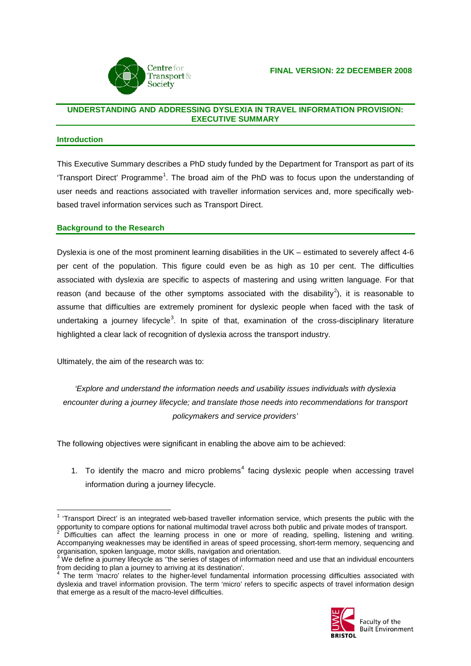

### **UNDERSTANDING AND ADDRESSING DYSLEXIA IN TRAVEL INFORMATION PROVISION: EXECUTIVE SUMMARY**

#### **Introduction**

This Executive Summary describes a PhD study funded by the Department for Transport as part of its 'Transport Direct' Programme<sup>[1](#page-0-0)</sup>. The broad aim of the PhD was to focus upon the understanding of user needs and reactions associated with traveller information services and, more specifically webbased travel information services such as Transport Direct.

### **Background to the Research**

Dyslexia is one of the most prominent learning disabilities in the UK – estimated to severely affect 4-6 per cent of the population. This figure could even be as high as 10 per cent. The difficulties associated with dyslexia are specific to aspects of mastering and using written language. For that reason (and because of the other symptoms associated with the disability<sup>[2](#page-0-1)</sup>), it is reasonable to assume that difficulties are extremely prominent for dyslexic people when faced with the task of undertaking a journey lifecycle<sup>[3](#page-0-2)</sup>. In spite of that, examination of the cross-disciplinary literature highlighted a clear lack of recognition of dyslexia across the transport industry.

Ultimately, the aim of the research was to:

*'Explore and understand the information needs and usability issues individuals with dyslexia encounter during a journey lifecycle; and translate those needs into recommendations for transport policymakers and service providers'*

The following objectives were significant in enabling the above aim to be achieved:

1. To identify the macro and micro problems<sup>[4](#page-0-3)</sup> facing dyslexic people when accessing travel information during a journey lifecycle.

<span id="page-0-3"></span>The term 'macro' relates to the higher-level fundamental information processing difficulties associated with dyslexia and travel information provision. The term 'micro' refers to specific aspects of travel information design that emerge as a result of the macro-level difficulties.



<span id="page-0-0"></span> $1$  'Transport Direct' is an integrated web-based traveller information service, which presents the public with the opportunity to compare options for national multimodal travel across both public and private modes of transport.

<span id="page-0-1"></span>Difficulties can affect the learning process in one or more of reading, spelling, listening and writing. Accompanying weaknesses may be identified in areas of speed processing, short-term memory, sequencing and organisation, spoken language, motor skills, navigation and orientation.<br><sup>3</sup> We define a journey lifecycle as "the series of stages of information need and use that an individual encounters

<span id="page-0-2"></span>from deciding to plan a journey to arriving at its destination'.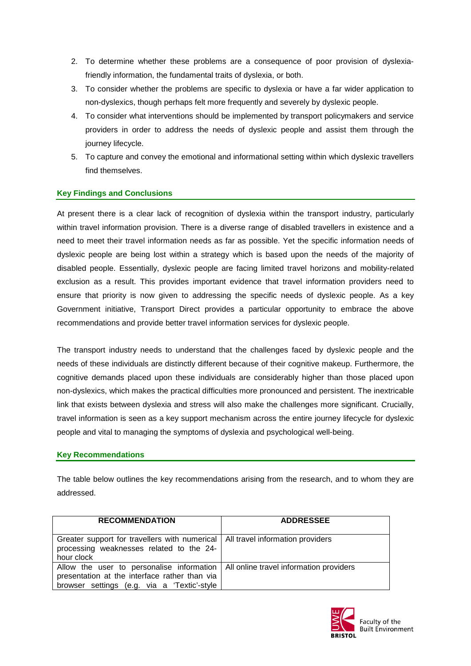- 2. To determine whether these problems are a consequence of poor provision of dyslexiafriendly information, the fundamental traits of dyslexia, or both.
- 3. To consider whether the problems are specific to dyslexia or have a far wider application to non-dyslexics, though perhaps felt more frequently and severely by dyslexic people.
- 4. To consider what interventions should be implemented by transport policymakers and service providers in order to address the needs of dyslexic people and assist them through the journey lifecycle.
- 5. To capture and convey the emotional and informational setting within which dyslexic travellers find themselves.

# **Key Findings and Conclusions**

At present there is a clear lack of recognition of dyslexia within the transport industry, particularly within travel information provision. There is a diverse range of disabled travellers in existence and a need to meet their travel information needs as far as possible. Yet the specific information needs of dyslexic people are being lost within a strategy which is based upon the needs of the majority of disabled people. Essentially, dyslexic people are facing limited travel horizons and mobility-related exclusion as a result. This provides important evidence that travel information providers need to ensure that priority is now given to addressing the specific needs of dyslexic people. As a key Government initiative, Transport Direct provides a particular opportunity to embrace the above recommendations and provide better travel information services for dyslexic people.

The transport industry needs to understand that the challenges faced by dyslexic people and the needs of these individuals are distinctly different because of their cognitive makeup. Furthermore, the cognitive demands placed upon these individuals are considerably higher than those placed upon non-dyslexics, which makes the practical difficulties more pronounced and persistent. The inextricable link that exists between dyslexia and stress will also make the challenges more significant. Crucially, travel information is seen as a key support mechanism across the entire journey lifecycle for dyslexic people and vital to managing the symptoms of dyslexia and psychological well-being.

# **Key Recommendations**

The table below outlines the key recommendations arising from the research, and to whom they are addressed.

| <b>RECOMMENDATION</b>                                                                                                                                                               | <b>ADDRESSEE</b> |
|-------------------------------------------------------------------------------------------------------------------------------------------------------------------------------------|------------------|
| Greater support for travellers with numerical   All travel information providers<br>processing weaknesses related to the 24-<br>hour clock                                          |                  |
| Allow the user to personalise information   All online travel information providers<br>presentation at the interface rather than via<br>browser settings (e.g. via a 'Textic'-style |                  |

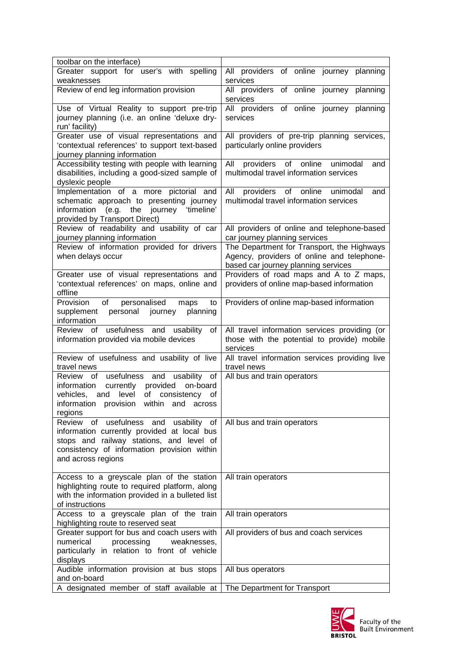| toolbar on the interface)                                                                                                                                                                                                    |                                                                                                                                 |
|------------------------------------------------------------------------------------------------------------------------------------------------------------------------------------------------------------------------------|---------------------------------------------------------------------------------------------------------------------------------|
| Greater support for user's with spelling<br>weaknesses                                                                                                                                                                       | All providers of online journey planning<br>services                                                                            |
| Review of end leg information provision                                                                                                                                                                                      | of online journey<br>All providers<br>planning<br>services                                                                      |
| Use of Virtual Reality to support pre-trip<br>journey planning (i.e. an online 'deluxe dry-<br>run' facility)                                                                                                                | of online journey planning<br>All providers<br>services                                                                         |
| Greater use of visual representations and<br>'contextual references' to support text-based<br>journey planning information                                                                                                   | All providers of pre-trip planning services,<br>particularly online providers                                                   |
| Accessibility testing with people with learning<br>disabilities, including a good-sized sample of<br>dyslexic people                                                                                                         | All<br>providers of online<br>unimodal<br>and<br>multimodal travel information services                                         |
| Implementation of a more pictorial and<br>schematic approach to presenting journey<br>information (e.g. the journey<br>'timeline'<br>provided by Transport Direct)                                                           | All<br>providers<br>of online<br>unimodal<br>and<br>multimodal travel information services                                      |
| Review of readability and usability of car<br>journey planning information                                                                                                                                                   | All providers of online and telephone-based<br>car journey planning services                                                    |
| Review of information provided for drivers<br>when delays occur                                                                                                                                                              | The Department for Transport, the Highways<br>Agency, providers of online and telephone-<br>based car journey planning services |
| Greater use of visual representations and<br>'contextual references' on maps, online and<br>offline                                                                                                                          | Providers of road maps and A to Z maps,<br>providers of online map-based information                                            |
| of<br>personalised<br>Provision<br>maps<br>to<br>personal journey<br>supplement<br>planning<br>information                                                                                                                   | Providers of online map-based information                                                                                       |
|                                                                                                                                                                                                                              |                                                                                                                                 |
| Review<br>usefulness and usability<br>of<br>of<br>information provided via mobile devices                                                                                                                                    | All travel information services providing (or<br>those with the potential to provide) mobile<br>services                        |
| Review of usefulness and usability of live<br>travel news                                                                                                                                                                    | All travel information services providing live<br>travel news                                                                   |
| Review<br>usefulness and usability<br>of<br>of<br>currently<br>information<br>provided<br>on-board<br>level<br>vehicles,<br>of<br>consistency<br>and<br>οf<br>provision<br>information<br>within<br>and<br>across<br>regions | All bus and train operators                                                                                                     |
| usefulness<br>Review<br>of<br>and<br>usability of<br>information currently provided at local bus<br>stops and railway stations, and level of<br>consistency of information provision within<br>and across regions            | All bus and train operators                                                                                                     |
| Access to a greyscale plan of the station<br>highlighting route to required platform, along<br>with the information provided in a bulleted list<br>of instructions                                                           | All train operators                                                                                                             |
| Access to a greyscale plan of the train<br>highlighting route to reserved seat                                                                                                                                               | All train operators                                                                                                             |
| Greater support for bus and coach users with<br>numerical<br>processing<br>weaknesses,<br>particularly in relation to front of vehicle<br>displays                                                                           | All providers of bus and coach services                                                                                         |
| Audible information provision at bus stops<br>and on-board<br>A designated member of staff available at                                                                                                                      | All bus operators                                                                                                               |

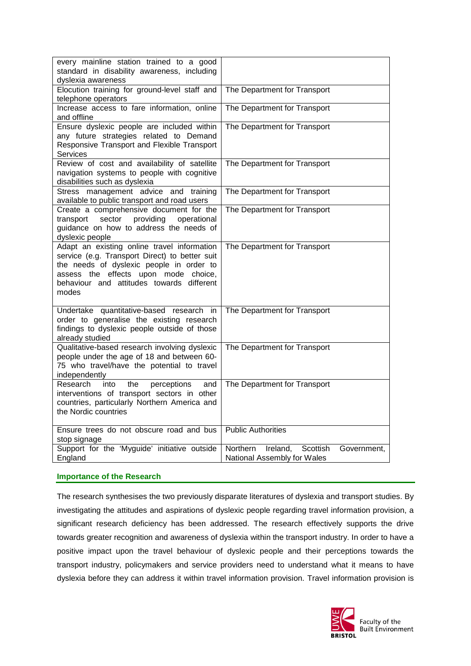| every mainline station trained to a good<br>standard in disability awareness, including<br>dyslexia awareness                                                                                                                           |                                                                                |
|-----------------------------------------------------------------------------------------------------------------------------------------------------------------------------------------------------------------------------------------|--------------------------------------------------------------------------------|
| Elocution training for ground-level staff and<br>telephone operators                                                                                                                                                                    | The Department for Transport                                                   |
| Increase access to fare information, online<br>and offline                                                                                                                                                                              | The Department for Transport                                                   |
| Ensure dyslexic people are included within<br>any future strategies related to Demand<br>Responsive Transport and Flexible Transport<br><b>Services</b>                                                                                 | The Department for Transport                                                   |
| Review of cost and availability of satellite<br>navigation systems to people with cognitive<br>disabilities such as dyslexia                                                                                                            | The Department for Transport                                                   |
| Stress management advice<br>and training<br>available to public transport and road users                                                                                                                                                | The Department for Transport                                                   |
| Create a comprehensive document for the<br>sector<br>providing<br>operational<br>transport<br>guidance on how to address the needs of<br>dyslexic people                                                                                | The Department for Transport                                                   |
| Adapt an existing online travel information<br>service (e.g. Transport Direct) to better suit<br>the needs of dyslexic people in order to<br>assess the effects upon mode choice,<br>behaviour and attitudes towards different<br>modes | The Department for Transport                                                   |
| Undertake quantitative-based research in<br>order to generalise the existing research<br>findings to dyslexic people outside of those<br>already studied                                                                                | The Department for Transport                                                   |
| Qualitative-based research involving dyslexic<br>people under the age of 18 and between 60-<br>75 who travel/have the potential to travel<br>independently                                                                              | The Department for Transport                                                   |
| Research<br>into<br>the<br>perceptions<br>and<br>interventions of transport sectors in other<br>countries, particularly Northern America and<br>the Nordic countries                                                                    | The Department for Transport                                                   |
| Ensure trees do not obscure road and bus<br>stop signage                                                                                                                                                                                | <b>Public Authorities</b>                                                      |
| Support for the 'Myguide' initiative outside<br>England                                                                                                                                                                                 | Northern<br>Scottish<br>Ireland,<br>Government,<br>National Assembly for Wales |

### **Importance of the Research**

The research synthesises the two previously disparate literatures of dyslexia and transport studies. By investigating the attitudes and aspirations of dyslexic people regarding travel information provision, a significant research deficiency has been addressed. The research effectively supports the drive towards greater recognition and awareness of dyslexia within the transport industry. In order to have a positive impact upon the travel behaviour of dyslexic people and their perceptions towards the transport industry, policymakers and service providers need to understand what it means to have dyslexia before they can address it within travel information provision. Travel information provision is